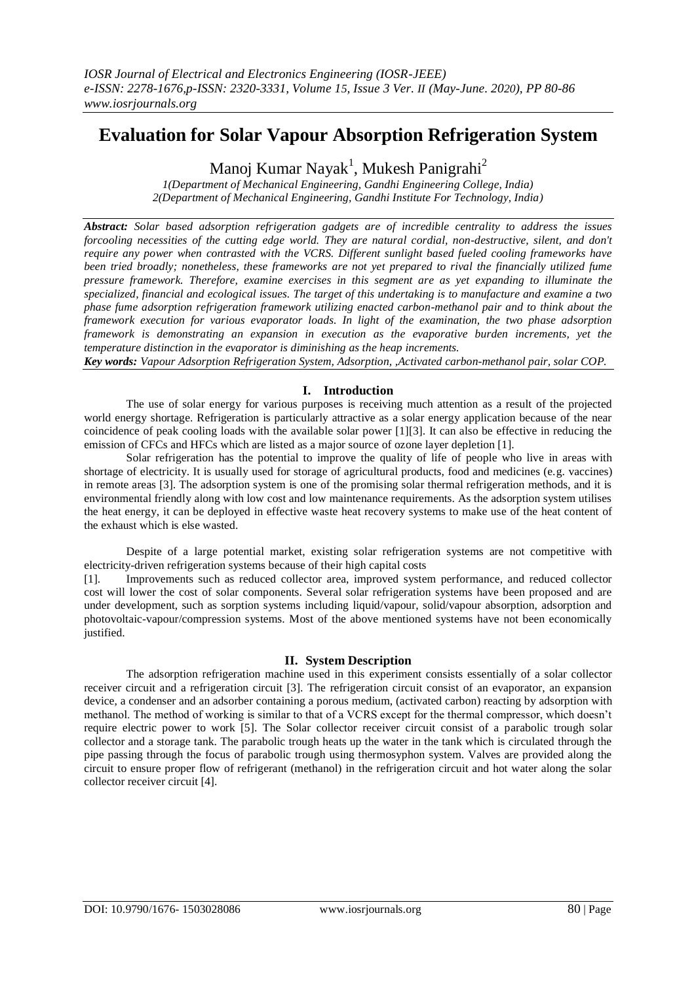# **Evaluation for Solar Vapour Absorption Refrigeration System**

Manoj Kumar Nayak<sup>1</sup>, Mukesh Panigrahi<sup>2</sup>

*1(Department of Mechanical Engineering, Gandhi Engineering College, India) 2(Department of Mechanical Engineering, Gandhi Institute For Technology, India)*

*Abstract: Solar based adsorption refrigeration gadgets are of incredible centrality to address the issues forcooling necessities of the cutting edge world. They are natural cordial, non-destructive, silent, and don't require any power when contrasted with the VCRS. Different sunlight based fueled cooling frameworks have been tried broadly; nonetheless, these frameworks are not yet prepared to rival the financially utilized fume pressure framework. Therefore, examine exercises in this segment are as yet expanding to illuminate the specialized, financial and ecological issues. The target of this undertaking is to manufacture and examine a two phase fume adsorption refrigeration framework utilizing enacted carbon-methanol pair and to think about the framework execution for various evaporator loads. In light of the examination, the two phase adsorption framework is demonstrating an expansion in execution as the evaporative burden increments, yet the temperature distinction in the evaporator is diminishing as the heap increments.*

*Key words: Vapour Adsorption Refrigeration System, Adsorption, ,Activated carbon-methanol pair, solar COP.*

# **I. Introduction**

The use of solar energy for various purposes is receiving much attention as a result of the projected world energy shortage. Refrigeration is particularly attractive as a solar energy application because of the near coincidence of peak cooling loads with the available solar power [1][3]. It can also be effective in reducing the emission of CFCs and HFCs which are listed as a major source of ozone layer depletion [1].

Solar refrigeration has the potential to improve the quality of life of people who live in areas with shortage of electricity. It is usually used for storage of agricultural products, food and medicines (e.g. vaccines) in remote areas [3]. The adsorption system is one of the promising solar thermal refrigeration methods, and it is environmental friendly along with low cost and low maintenance requirements. As the adsorption system utilises the heat energy, it can be deployed in effective waste heat recovery systems to make use of the heat content of the exhaust which is else wasted.

Despite of a large potential market, existing solar refrigeration systems are not competitive with electricity-driven refrigeration systems because of their high capital costs

[1]. Improvements such as reduced collector area, improved system performance, and reduced collector cost will lower the cost of solar components. Several solar refrigeration systems have been proposed and are under development, such as sorption systems including liquid/vapour, solid/vapour absorption, adsorption and photovoltaic-vapour/compression systems. Most of the above mentioned systems have not been economically justified.

# **II. System Description**

The adsorption refrigeration machine used in this experiment consists essentially of a solar collector receiver circuit and a refrigeration circuit [3]. The refrigeration circuit consist of an evaporator, an expansion device, a condenser and an adsorber containing a porous medium, (activated carbon) reacting by adsorption with methanol. The method of working is similar to that of a VCRS except for the thermal compressor, which doesn't require electric power to work [5]. The Solar collector receiver circuit consist of a parabolic trough solar collector and a storage tank. The parabolic trough heats up the water in the tank which is circulated through the pipe passing through the focus of parabolic trough using thermosyphon system. Valves are provided along the circuit to ensure proper flow of refrigerant (methanol) in the refrigeration circuit and hot water along the solar collector receiver circuit [4].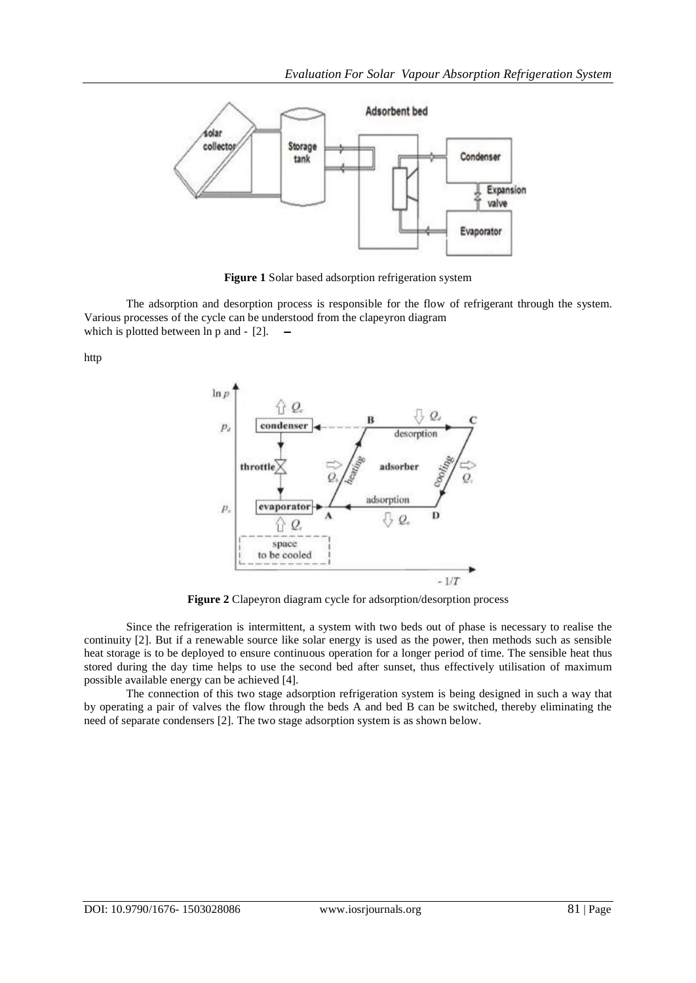

**Figure 1** Solar based adsorption refrigeration system

The adsorption and desorption process is responsible for the flow of refrigerant through the system. Various processes of the cycle can be understood from the clapeyron diagram which is plotted between  $\ln p$  and  $-$  [2].  $-$ 

http



**Figure 2** Clapeyron diagram cycle for adsorption/desorption process

Since the refrigeration is intermittent, a system with two beds out of phase is necessary to realise the continuity [2]. But if a renewable source like solar energy is used as the power, then methods such as sensible heat storage is to be deployed to ensure continuous operation for a longer period of time. The sensible heat thus stored during the day time helps to use the second bed after sunset, thus effectively utilisation of maximum possible available energy can be achieved [4].

The connection of this two stage adsorption refrigeration system is being designed in such a way that by operating a pair of valves the flow through the beds A and bed B can be switched, thereby eliminating the need of separate condensers [2]. The two stage adsorption system is as shown below.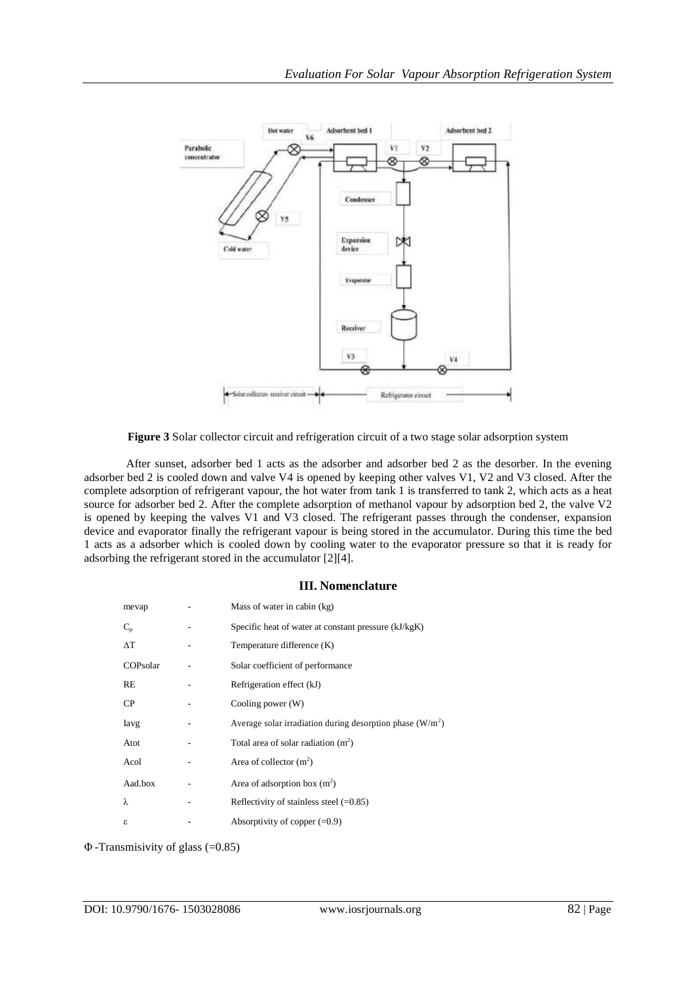

**Figure 3** Solar collector circuit and refrigeration circuit of a two stage solar adsorption system

After sunset, adsorber bed 1 acts as the adsorber and adsorber bed 2 as the desorber. In the evening adsorber bed 2 is cooled down and valve V4 is opened by keeping other valves V1, V2 and V3 closed. After the complete adsorption of refrigerant vapour, the hot water from tank 1 is transferred to tank 2, which acts as a heat source for adsorber bed 2. After the complete adsorption of methanol vapour by adsorption bed 2, the valve V2 is opened by keeping the valves V1 and V3 closed. The refrigerant passes through the condenser, expansion device and evaporator finally the refrigerant vapour is being stored in the accumulator. During this time the bed 1 acts as a adsorber which is cooled down by cooling water to the evaporator pressure so that it is ready for adsorbing the refrigerant stored in the accumulator [2][4].

## **III. Nomenclature**

| mevap       | Mass of water in cabin (kg)                                 |
|-------------|-------------------------------------------------------------|
| $C_{p}$     | Specific heat of water at constant pressure (kJ/kgK)        |
| $\Lambda$ T | Temperature difference (K)                                  |
| COPsolar    | Solar coefficient of performance                            |
| RE          | Refrigeration effect (kJ)                                   |
| CP          | Cooling power (W)                                           |
| Iavg        | Average solar irradiation during desorption phase $(W/m^2)$ |
| Atot        | Total area of solar radiation $(m2)$                        |
| Acol        | Area of collector $(m^2)$                                   |
| Aad.box     | Area of adsorption box $(m^2)$                              |
| λ           | Reflectivity of stainless steel $(=0.85)$                   |
| ε           | Absorptivity of copper $(=0.9)$                             |

Φ -Transmisivity of glass (=0.85)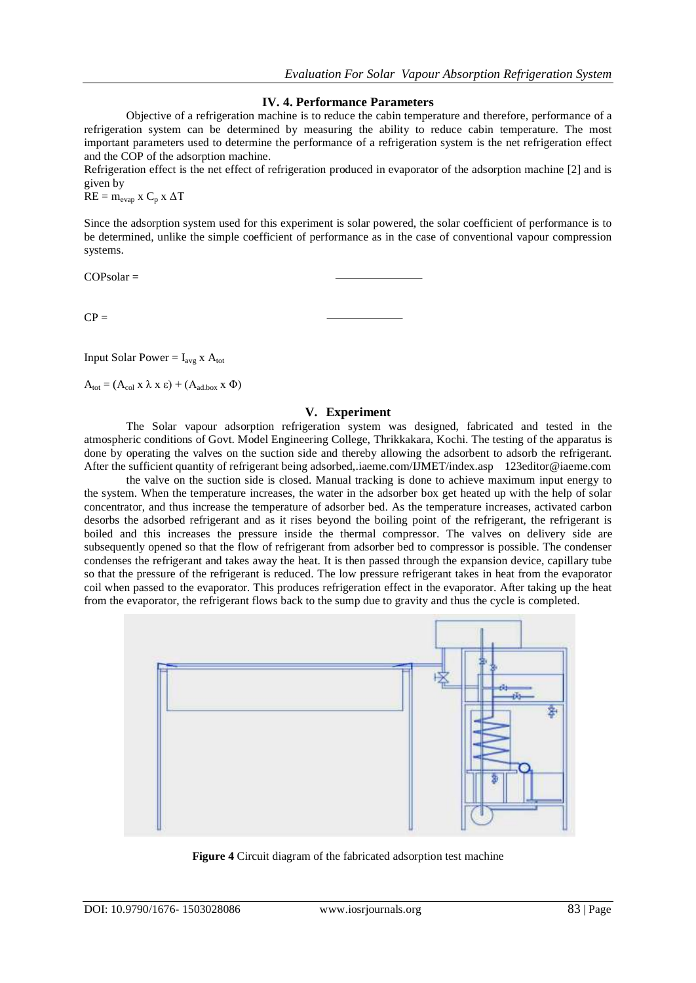#### **IV. 4. Performance Parameters**

Objective of a refrigeration machine is to reduce the cabin temperature and therefore, performance of a refrigeration system can be determined by measuring the ability to reduce cabin temperature. The most important parameters used to determine the performance of a refrigeration system is the net refrigeration effect and the COP of the adsorption machine.

Refrigeration effect is the net effect of refrigeration produced in evaporator of the adsorption machine [2] and is given by

 $RE = m_{evap}$  x  $C_p$  x  $\Delta T$ 

Since the adsorption system used for this experiment is solar powered, the solar coefficient of performance is to be determined, unlike the simple coefficient of performance as in the case of conventional vapour compression systems.

 $COPsolar =$ 

 $CP =$ 

Input Solar Power =  $I_{avg}$  x  $A_{tot}$ 

 $A_{\text{tot}} = (A_{\text{col}} \times \lambda \times \varepsilon) + (A_{\text{ad},\text{box}} \times \Phi)$ 

#### **V. Experiment**

The Solar vapour adsorption refrigeration system was designed, fabricated and tested in the atmospheric conditions of Govt. Model Engineering College, Thrikkakara, Kochi. The testing of the apparatus is done by operating the valves on the suction side and thereby allowing the adsorbent to adsorb the refrigerant. After the sufficient quantity of refrigerant being adsorbed,.iaeme.com/IJMET/index.asp 123editor@iaeme.com

the valve on the suction side is closed. Manual tracking is done to achieve maximum input energy to the system. When the temperature increases, the water in the adsorber box get heated up with the help of solar concentrator, and thus increase the temperature of adsorber bed. As the temperature increases, activated carbon desorbs the adsorbed refrigerant and as it rises beyond the boiling point of the refrigerant, the refrigerant is boiled and this increases the pressure inside the thermal compressor. The valves on delivery side are subsequently opened so that the flow of refrigerant from adsorber bed to compressor is possible. The condenser condenses the refrigerant and takes away the heat. It is then passed through the expansion device, capillary tube so that the pressure of the refrigerant is reduced. The low pressure refrigerant takes in heat from the evaporator coil when passed to the evaporator. This produces refrigeration effect in the evaporator. After taking up the heat from the evaporator, the refrigerant flows back to the sump due to gravity and thus the cycle is completed.



**Figure 4** Circuit diagram of the fabricated adsorption test machine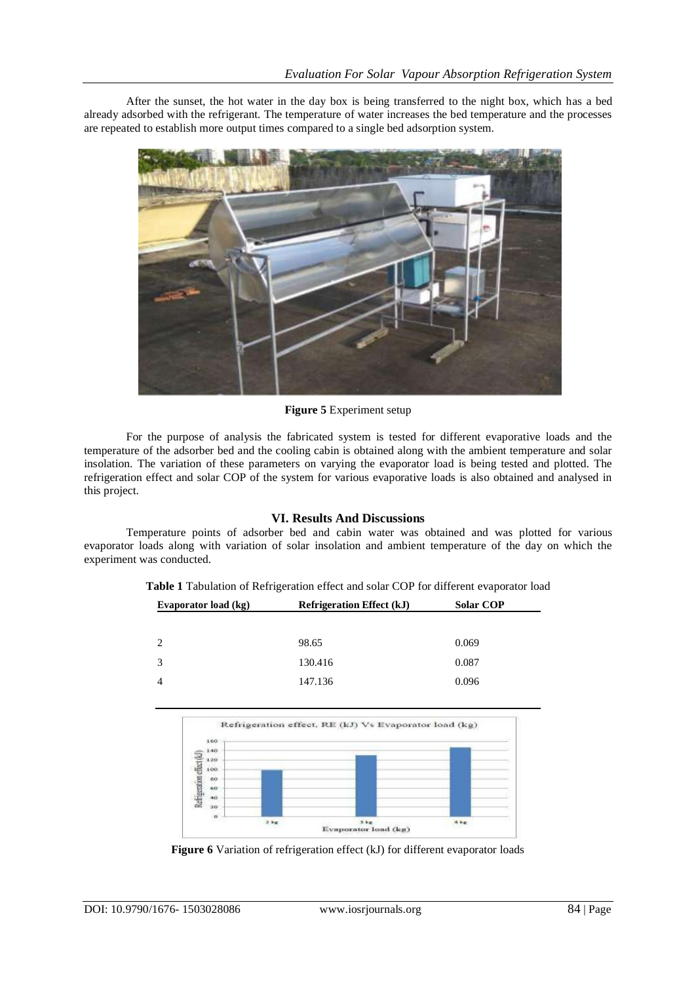After the sunset, the hot water in the day box is being transferred to the night box, which has a bed already adsorbed with the refrigerant. The temperature of water increases the bed temperature and the processes are repeated to establish more output times compared to a single bed adsorption system.



## **Figure 5** Experiment setup

For the purpose of analysis the fabricated system is tested for different evaporative loads and the temperature of the adsorber bed and the cooling cabin is obtained along with the ambient temperature and solar insolation. The variation of these parameters on varying the evaporator load is being tested and plotted. The refrigeration effect and solar COP of the system for various evaporative loads is also obtained and analysed in this project.

## **VI. Results And Discussions**

Temperature points of adsorber bed and cabin water was obtained and was plotted for various evaporator loads along with variation of solar insolation and ambient temperature of the day on which the experiment was conducted.

| Evaporator load (kg) | <b>Refrigeration Effect (kJ)</b> | <b>Solar COP</b> |
|----------------------|----------------------------------|------------------|
|                      |                                  |                  |
| 2                    | 98.65                            | 0.069            |
|                      |                                  |                  |
| 3                    | 130.416                          | 0.087            |
|                      | 147.136                          | 0.096            |

**Table 1** Tabulation of Refrigeration effect and solar COP for different evaporator load



Figure 6 Variation of refrigeration effect (kJ) for different evaporator loads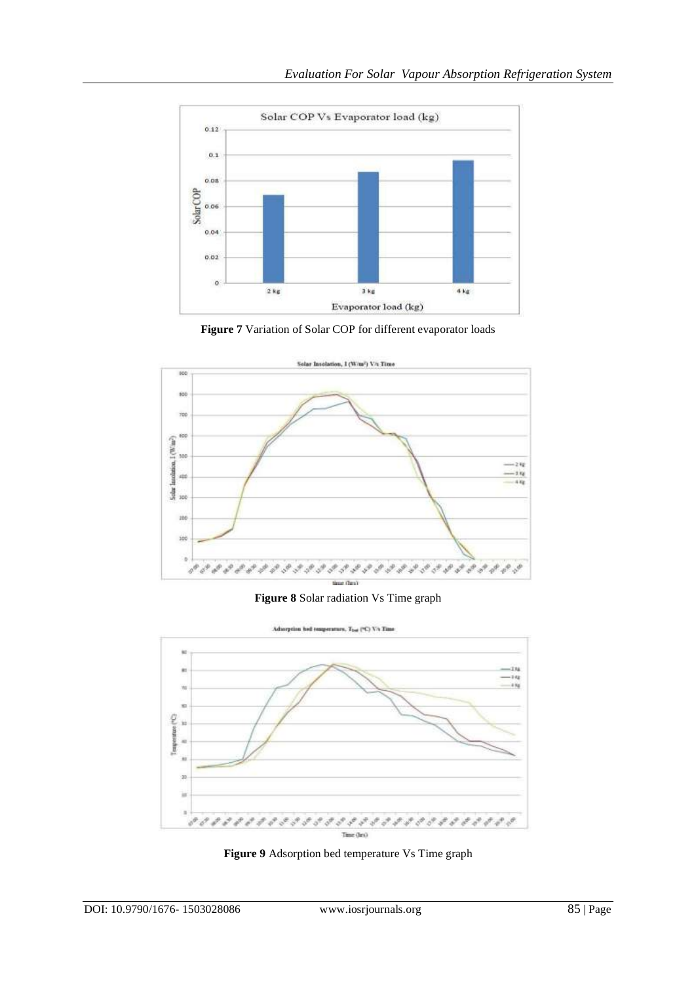

**Figure 7** Variation of Solar COP for different evaporator loads



**Figure 8** Solar radiation Vs Time graph



**Figure 9** Adsorption bed temperature Vs Time graph